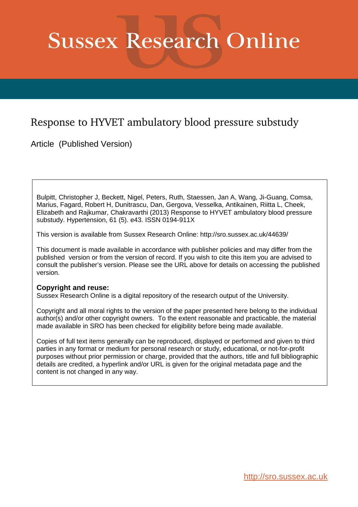# **Sussex Research Online**

# Response to HYVET ambulatory blood pressure substudy

Article (Published Version)

Bulpitt, Christopher J, Beckett, Nigel, Peters, Ruth, Staessen, Jan A, Wang, Ji-Guang, Comsa, Marius, Fagard, Robert H, Dunitrascu, Dan, Gergova, Vesselka, Antikainen, Riitta L, Cheek, Elizabeth and Rajkumar, Chakravarthi (2013) Response to HYVET ambulatory blood pressure substudy. Hypertension, 61 (5). e43. ISSN 0194-911X

This version is available from Sussex Research Online: http://sro.sussex.ac.uk/44639/

This document is made available in accordance with publisher policies and may differ from the published version or from the version of record. If you wish to cite this item you are advised to consult the publisher's version. Please see the URL above for details on accessing the published version.

## **Copyright and reuse:**

Sussex Research Online is a digital repository of the research output of the University.

Copyright and all moral rights to the version of the paper presented here belong to the individual author(s) and/or other copyright owners. To the extent reasonable and practicable, the material made available in SRO has been checked for eligibility before being made available.

Copies of full text items generally can be reproduced, displayed or performed and given to third parties in any format or medium for personal research or study, educational, or not-for-profit purposes without prior permission or charge, provided that the authors, title and full bibliographic details are credited, a hyperlink and/or URL is given for the original metadata page and the content is not changed in any way.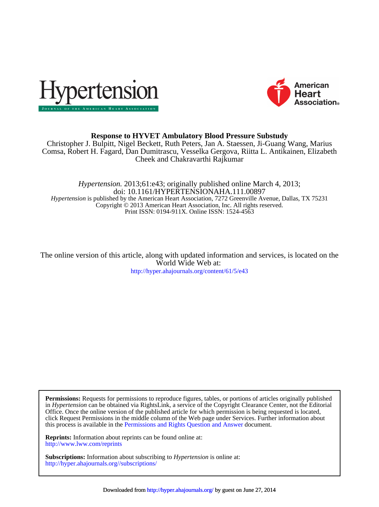



## **Response to HYVET Ambulatory Blood Pressure Substudy**

Cheek and Chakravarthi Rajkumar Comsa, Robert H. Fagard, Dan Dumitrascu, Vesselka Gergova, Riitta L. Antikainen, Elizabeth Christopher J. Bulpitt, Nigel Beckett, Ruth Peters, Jan A. Staessen, Ji-Guang Wang, Marius

Print ISSN: 0194-911X. Online ISSN: 1524-4563 Copyright © 2013 American Heart Association, Inc. All rights reserved. *Hypertension* is published by the American Heart Association, 7272 Greenville Avenue, Dallas, TX 75231 doi: 10.1161/HYPERTENSIONAHA.111.00897 *Hypertension.* 2013;61:e43; originally published online March 4, 2013;

<http://hyper.ahajournals.org/content/61/5/e43> World Wide Web at: The online version of this article, along with updated information and services, is located on the

this process is available in the [Permissions and Rights Question and Answer d](http://www.ahajournals.org/site/rights/)ocument. click Request Permissions in the middle column of the Web page under Services. Further information about Office. Once the online version of the published article for which permission is being requested is located, in *Hypertension* can be obtained via RightsLink, a service of the Copyright Clearance Center, not the Editorial **Permissions:** Requests for permissions to reproduce figures, tables, or portions of articles originally published

<http://www.lww.com/reprints> **Reprints:** Information about reprints can be found online at:

<http://hyper.ahajournals.org//subscriptions/> **Subscriptions:** Information about subscribing to *Hypertension* is online at: